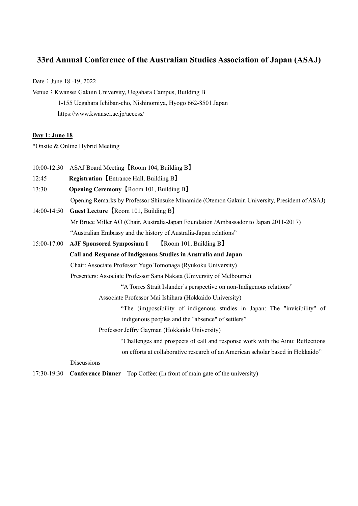## 33rd Annual Conference of the Australian Studies Association of Japan (ASAJ)

Date: June 18 -19, 2022

Venue: Kwansei Gakuin University, Uegahara Campus, Building B 1-155 Uegahara Ichiban-cho, Nishinomiya, Hyogo 662-8501 Japan https://www.kwansei.ac.jp/access/

## Day 1: June 18

\*Onsite & Online Hybrid Meeting

| $10:00 - 12:30$ | ASAJ Board Meeting [Room 104, Building B]                                                    |
|-----------------|----------------------------------------------------------------------------------------------|
| 12:45           | <b>Registration</b> [Entrance Hall, Building B]                                              |
| 13:30           | <b>Opening Ceremony </b> [Room 101, Building B]                                              |
|                 | Opening Remarks by Professor Shinsuke Minamide (Otemon Gakuin University, President of ASAJ) |
| 14:00-14:50     | <b>Guest Lecture</b> <i>(Room 101, Building B)</i>                                           |
|                 | Mr Bruce Miller AO (Chair, Australia-Japan Foundation /Ambassador to Japan 2011-2017)        |
|                 | "Australian Embassy and the history of Australia-Japan relations"                            |
| 15:00-17:00     | <b>Room 101, Building B</b><br><b>AJF Sponsored Symposium I</b>                              |
|                 | Call and Response of Indigenous Studies in Australia and Japan                               |
|                 | Chair: Associate Professor Yugo Tomonaga (Ryukoku University)                                |
|                 | Presenters: Associate Professor Sana Nakata (University of Melbourne)                        |
|                 | "A Torres Strait Islander's perspective on non-Indigenous relations"                         |
|                 | Associate Professor Mai Ishihara (Hokkaido University)                                       |
|                 | "The (im)possibility of indigenous studies in Japan: The "invisibility" of                   |
|                 | indigenous peoples and the "absence" of settlers"                                            |
|                 | Professor Jeffry Gayman (Hokkaido University)                                                |
|                 | "Challenges and prospects of call and response work with the Ainu: Reflections               |
|                 | on efforts at collaborative research of an American scholar based in Hokkaido"               |
|                 | Disquesions                                                                                  |

Discussions

17:30-19:30 Conference Dinner Top Coffee: (In front of main gate of the university)